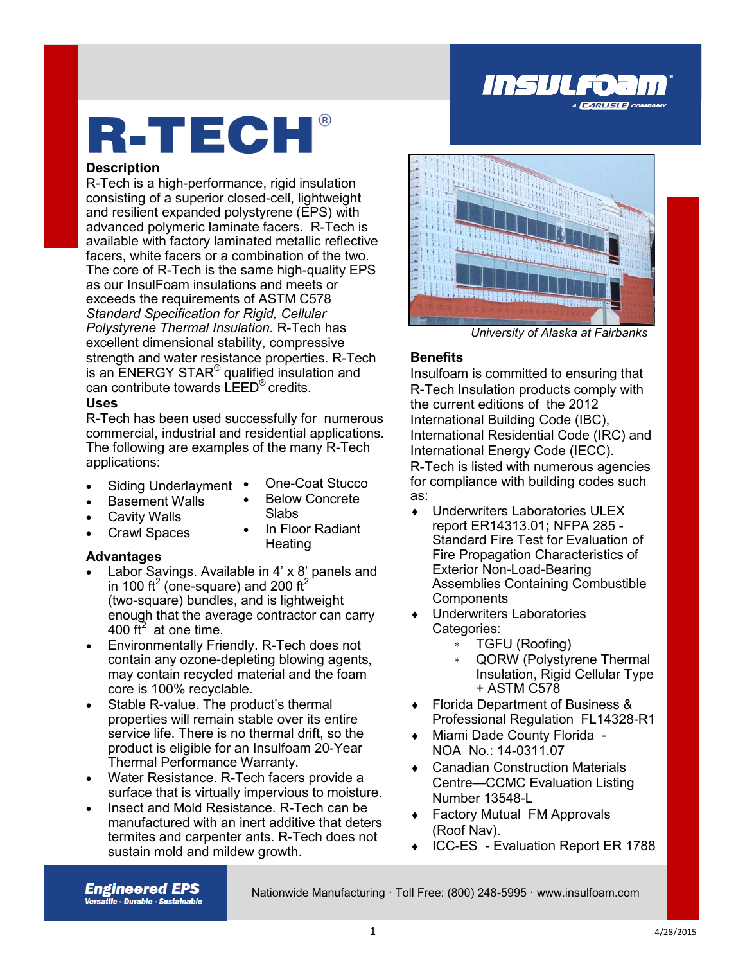

# R-TECH®

### **Description**

R-Tech is a high-performance, rigid insulation consisting of a superior closed-cell, lightweight and resilient expanded polystyrene (EPS) with advanced polymeric laminate facers. R-Tech is available with factory laminated metallic reflective facers, white facers or a combination of the two. The core of R-Tech is the same high-quality EPS as our InsulFoam insulations and meets or exceeds the requirements of ASTM C578 *Standard Specification for Rigid, Cellular Polystyrene Thermal Insulation.* R-Tech has excellent dimensional stability, compressive strength and water resistance properties. R-Tech is an ENERGY STAR<sup>®</sup> qualified insulation and can contribute towards LEED® credits.

### **Uses**

R-Tech has been used successfully for numerous commercial, industrial and residential applications. The following are examples of the many R-Tech applications:

- Siding Underlayment •
- One-Coat Stucco Below Concrete

Slabs

- Basement Walls Cavity Walls
- Crawl Spaces
	- In Floor Radiant **Heating**

### **Advantages**

- Labor Savings. Available in 4' x 8' panels and in 100 ft<sup>2</sup> (one-square) and 200 ft<sup>2</sup> (two-square) bundles, and is lightweight enough that the average contractor can carry 400 ft<sup>2</sup> at one time.
- Environmentally Friendly. R-Tech does not contain any ozone-depleting blowing agents, may contain recycled material and the foam core is 100% recyclable.
- Stable R-value. The product's thermal properties will remain stable over its entire service life. There is no thermal drift, so the product is eligible for an Insulfoam 20-Year Thermal Performance Warranty.
- Water Resistance. R-Tech facers provide a surface that is virtually impervious to moisture.
- Insect and Mold Resistance. R-Tech can be manufactured with an inert additive that deters termites and carpenter ants. R-Tech does not sustain mold and mildew growth.



*University of Alaska at Fairbanks*

### **Benefits**

Insulfoam is committed to ensuring that R-Tech Insulation products comply with the current editions of the 2012 International Building Code (IBC), International Residential Code (IRC) and International Energy Code (IECC). R-Tech is listed with numerous agencies for compliance with building codes such as:

- Underwriters Laboratories ULEX report ER14313.01**;** NFPA 285 - Standard Fire Test for Evaluation of Fire Propagation Characteristics of Exterior Non-Load-Bearing Assemblies Containing Combustible **Components**
- Underwriters Laboratories Categories:
	- TGFU (Roofing)
	- QORW (Polystyrene Thermal Insulation, Rigid Cellular Type + ASTM C578
- Florida Department of Business & Professional Regulation FL14328-R1
- Miami Dade County Florida NOA No.: 14-0311.07
- Canadian Construction Materials Centre—CCMC Evaluation Listing Number 13548-L
- Factory Mutual FM Approvals (Roof Nav).
- ◆ ICC-ES Evaluation Report ER 1788

**Engineered EPS Versatlle - Durable - Sustalnable** 

Nationwide Manufacturing · Toll Free: (800) 248-5995 · www.insulfoam.com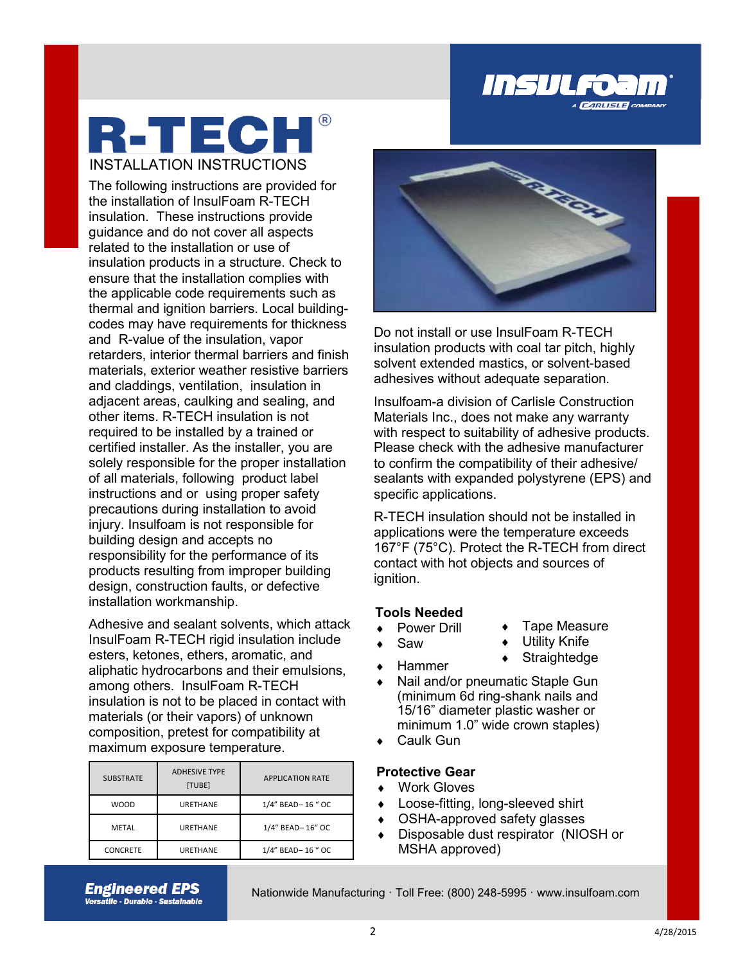

## R-TECH® INSTALLATION INSTRUCTIONS

The following instructions are provided for the installation of InsulFoam R-TECH insulation. These instructions provide guidance and do not cover all aspects related to the installation or use of insulation products in a structure. Check to ensure that the installation complies with the applicable code requirements such as thermal and ignition barriers. Local buildingcodes may have requirements for thickness and R-value of the insulation, vapor retarders, interior thermal barriers and finish materials, exterior weather resistive barriers and claddings, ventilation, insulation in adjacent areas, caulking and sealing, and other items. R-TECH insulation is not required to be installed by a trained or certified installer. As the installer, you are solely responsible for the proper installation of all materials, following product label instructions and or using proper safety precautions during installation to avoid injury. Insulfoam is not responsible for building design and accepts no responsibility for the performance of its products resulting from improper building design, construction faults, or defective installation workmanship.

Adhesive and sealant solvents, which attack InsulFoam R-TECH rigid insulation include esters, ketones, ethers, aromatic, and aliphatic hydrocarbons and their emulsions, among others. InsulFoam R-TECH insulation is not to be placed in contact with materials (or their vapors) of unknown composition, pretest for compatibility at maximum exposure temperature.

| <b>SUBSTRATE</b> | <b>ADHESIVE TYPE</b><br>[TUBE] | <b>APPLICATION RATE</b> |
|------------------|--------------------------------|-------------------------|
| <b>WOOD</b>      | <b>URETHANE</b>                | 1/4" BEAD-16 " OC       |
| METAL            | <b>URETHANE</b>                | 1/4" BEAD-16" OC        |
| <b>CONCRETE</b>  | <b>URETHANE</b>                | 1/4" BEAD-16 " OC       |



Do not install or use InsulFoam R-TECH insulation products with coal tar pitch, highly solvent extended mastics, or solvent-based adhesives without adequate separation.

Insulfoam-a division of Carlisle Construction Materials Inc., does not make any warranty with respect to suitability of adhesive products. Please check with the adhesive manufacturer to confirm the compatibility of their adhesive/ sealants with expanded polystyrene (EPS) and specific applications.

R-TECH insulation should not be installed in applications were the temperature exceeds 167°F (75°C). Protect the R-TECH from direct contact with hot objects and sources of ignition.

### **Tools Needed**

- ◆ Power Drill
- Tape Measure
- Saw
- Utility Knife
- $\leftarrow$  Hammer
- ◆ Straightedge
- Nail and/or pneumatic Staple Gun (minimum 6d ring-shank nails and 15/16" diameter plastic washer or minimum 1.0" wide crown staples)
- Caulk Gun

### **Protective Gear**

- Work Gloves
- Loose-fitting, long-sleeved shirt
- OSHA-approved safety glasses
- ◆ Disposable dust respirator (NIOSH or MSHA approved)

**Engineered EPS Versatlle - Durable - Sustalnable** 

Nationwide Manufacturing · Toll Free: (800) 248-5995 · www.insulfoam.com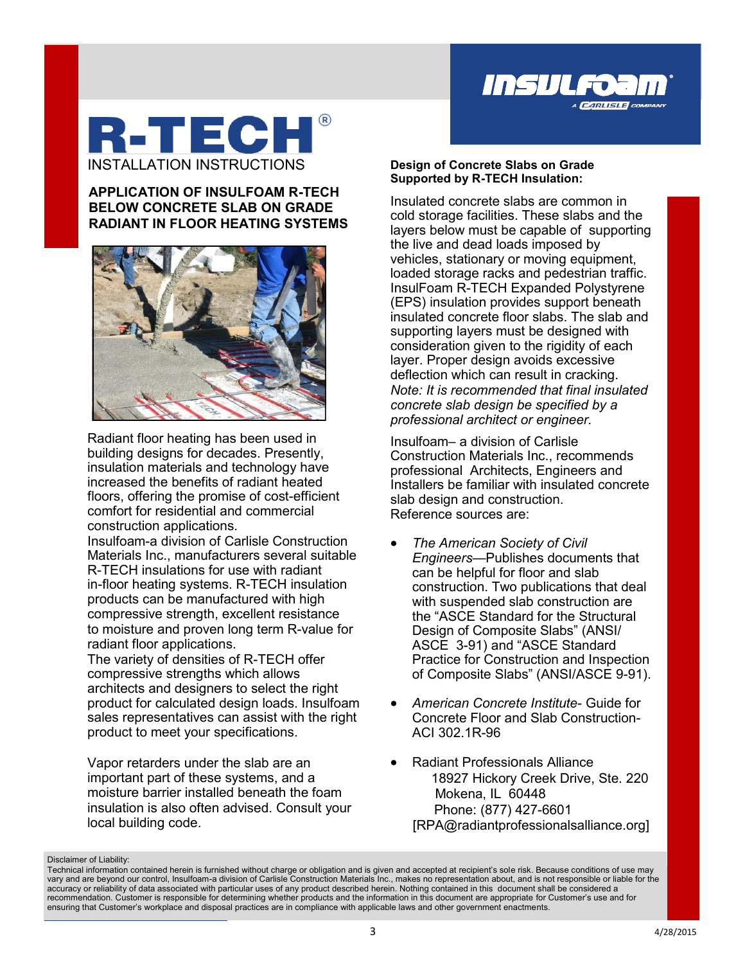

### **R-TECH** INSTALLATION INSTRUCTIONS

### **APPLICATION OF INSULFOAM R-TECH BELOW CONCRETE SLAB ON GRADE RADIANT IN FLOOR HEATING SYSTEMS**



Radiant floor heating has been used in building designs for decades. Presently, insulation materials and technology have increased the benefits of radiant heated floors, offering the promise of cost-efficient comfort for residential and commercial construction applications.

Insulfoam-a division of Carlisle Construction Materials Inc., manufacturers several suitable R-TECH insulations for use with radiant in-floor heating systems. R-TECH insulation products can be manufactured with high compressive strength, excellent resistance to moisture and proven long term R-value for radiant floor applications.

The variety of densities of R-TECH offer compressive strengths which allows architects and designers to select the right product for calculated design loads. Insulfoam sales representatives can assist with the right product to meet your specifications.

Vapor retarders under the slab are an important part of these systems, and a moisture barrier installed beneath the foam insulation is also often advised. Consult your local building code.

### **Design of Concrete Slabs on Grade Supported by R-TECH Insulation:**

Insulated concrete slabs are common in cold storage facilities. These slabs and the layers below must be capable of supporting the live and dead loads imposed by vehicles, stationary or moving equipment, loaded storage racks and pedestrian traffic. InsulFoam R-TECH Expanded Polystyrene (EPS) insulation provides support beneath insulated concrete floor slabs. The slab and supporting layers must be designed with consideration given to the rigidity of each layer. Proper design avoids excessive deflection which can result in cracking. *Note: It is recommended that final insulated concrete slab design be specified by a professional architect or engineer.*

Insulfoam– a division of Carlisle Construction Materials Inc., recommends professional Architects, Engineers and Installers be familiar with insulated concrete slab design and construction. Reference sources are:

- *The American Society of Civil Engineers—*Publishes documents that can be helpful for floor and slab construction. Two publications that deal with suspended slab construction are the "ASCE Standard for the Structural Design of Composite Slabs" (ANSI/ ASCE 3-91) and "ASCE Standard Practice for Construction and Inspection of Composite Slabs" (ANSI/ASCE 9-91).
- *American Concrete Institute* Guide for Concrete Floor and Slab Construction-ACI 302.1R-96
- Radiant Professionals Alliance 18927 Hickory Creek Drive, Ste. 220 Mokena, IL 60448 Phone: (877) 427-6601 [RPA@radiantprofessionalsalliance.org]

Disclaimer of Liability:

accuracy or reliability of data associated with particular uses of any product described herein. Nothing contained in this document shall be considered a<br>recommendation. Customer is responsible for determining whether prod Technical information contained herein is furnished without charge or obligation and is given and accepted at recipient's sole risk. Because conditions of use may vary and are beyond our control, Insulfoam-a division of Carlisle Construction Materials Inc., makes no representation about, and is not responsible or liable for the recommendation. Customer is responsible for determining whether products and the information in this document are appropriate for Customer's use and for ensuring that Customer's workplace and disposal practices are in compliance with applicable laws and other government enactments.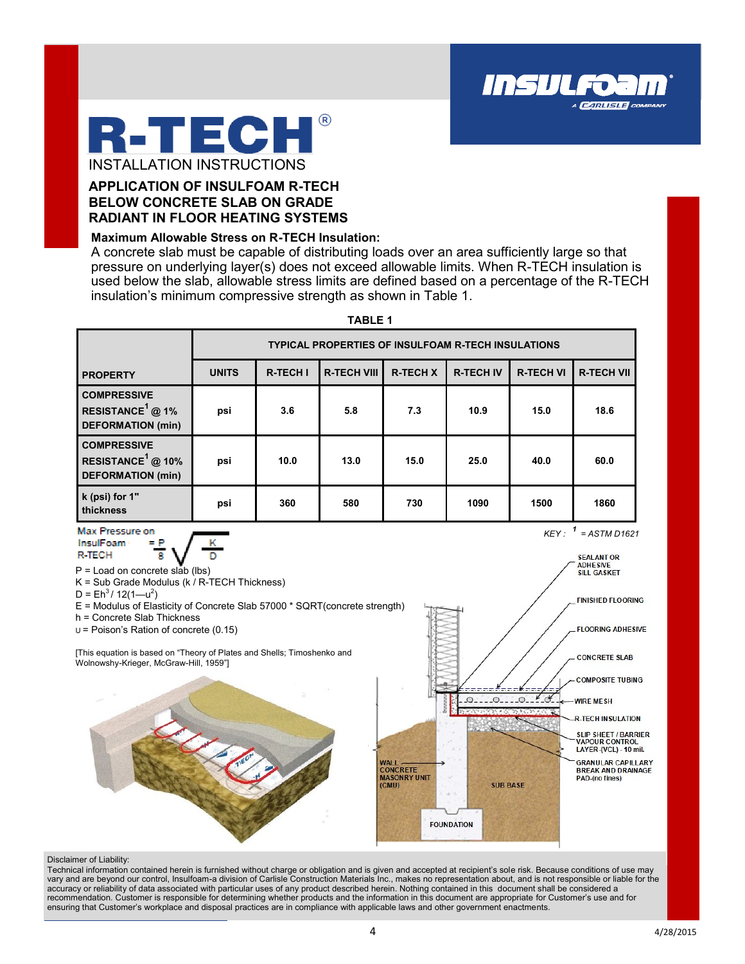

### **APPLICATION OF INSULFOAM R-TECH BELOW CONCRETE SLAB ON GRADE RADIANT IN FLOOR HEATING SYSTEMS**

#### **Maximum Allowable Stress on R-TECH Insulation:**

A concrete slab must be capable of distributing loads over an area sufficiently large so that pressure on underlying layer(s) does not exceed allowable limits. When R-TECH insulation is used below the slab, allowable stress limits are defined based on a percentage of the R-TECH insulation's minimum compressive strength as shown in Table 1.

Insulfo:

**CARLISLE** CO



**TABLE 1**

#### Disclaimer of Liability:

accuracy or reliability of data associated with particular uses of any product described herein. Nothing contained in this document shall be considered a<br>recommendation. Customer is responsible for determining whether prod Technical information contained herein is furnished without charge or obligation and is given and accepted at recipient's sole risk. Because conditions of use may vary and are beyond our control, Insulfoam-a division of Carlisle Construction Materials Inc., makes no representation about, and is not responsible or liable for the recommendation. Customer is responsible for determining whether products and the information in this document are appropriate for Customer's use and for ensuring that Customer's workplace and disposal practices are in compliance with applicable laws and other government enactments.